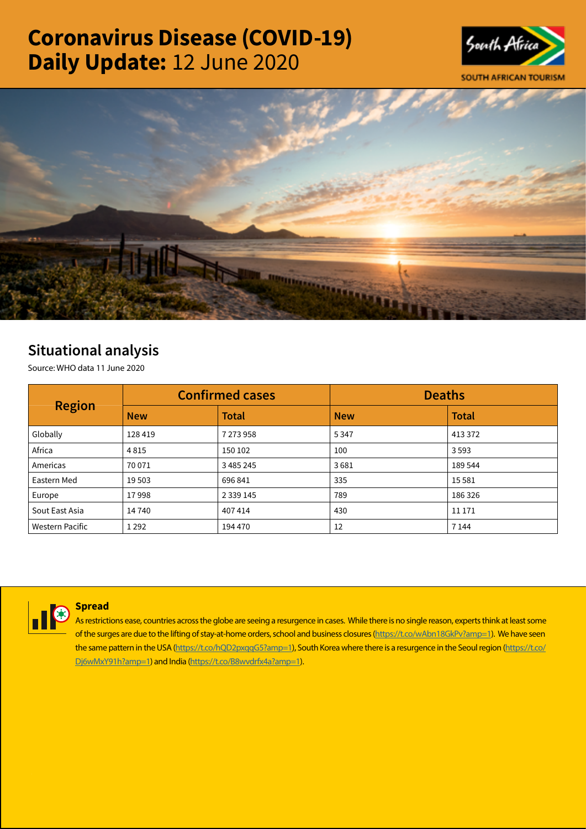# Coronavirus Disease (COVID-19) Daily Update: 12 June 2020





# Situational analysis

Source: WHO data 11 June 2020

| <b>Region</b>          |            | <b>Confirmed cases</b> | <b>Deaths</b> |              |  |
|------------------------|------------|------------------------|---------------|--------------|--|
|                        | <b>New</b> | <b>Total</b>           | <b>New</b>    | <b>Total</b> |  |
| Globally               | 128 419    | 7 273 958              | 5347          | 413 372      |  |
| Africa                 | 4815       | 150 102                | 100           | 3593         |  |
| Americas               | 70 071     | 3 485 245              | 3681          | 189 544      |  |
| Eastern Med            | 19 503     | 696 841                | 335           | 15 5 8 1     |  |
| Europe                 | 17998      | 2 3 3 9 1 4 5          | 789           | 186 326      |  |
| Sout East Asia         | 14740      | 407414                 | 430           | 11 171       |  |
| <b>Western Pacific</b> | 1 2 9 2    | 194 470                | 12            | 7 1 4 4      |  |



# **Spread**

As restrictions ease, countries across the globe are seeing a resurgence in cases. While there is no single reason, experts think at least some of the surges are due to the lifting of stay-at-home orders, school and business closures [\(https://t.co/wAbn18GkPv?amp=1](https://t.co/wAbn18GkPv?amp=1)). We have seen the same pattern in the USA [\(https://t.co/hQD2pxqqG5?amp=1\)](https://t.co/hQD2pxqqG5?amp=1), South Korea where there is a resurgence in the Seoul region [\(https://t.co/](https://t.co/Dj6wMxY91h?amp=1) [Dj6wMxY91h?amp=1\)](https://t.co/Dj6wMxY91h?amp=1) and India [\(https://t.co/B8wvdrfx4a?amp=1](https://t.co/B8wvdrfx4a?amp=1)).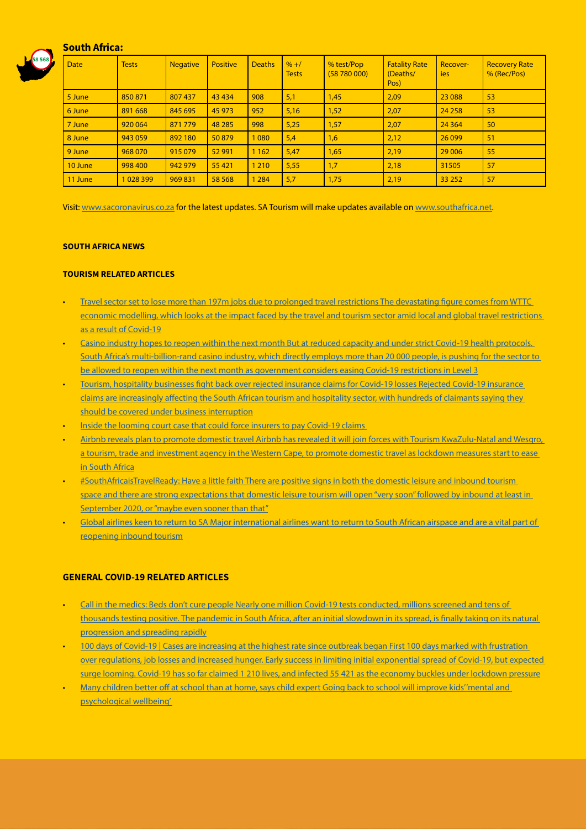# South Africa:



| <b>Date</b> | <b>Tests</b> | <b>Negative</b> | <b>Positive</b> | <b>Deaths</b> | $% + /$<br><b>Tests</b> | % test/Pop<br>(58780000) | <b>Fatality Rate</b><br>(Deaths/<br>Pos) | Recover-<br><b>ies</b> | <b>Recovery Rate</b><br>% (Rec/Pos) |
|-------------|--------------|-----------------|-----------------|---------------|-------------------------|--------------------------|------------------------------------------|------------------------|-------------------------------------|
| 5 June      | 850871       | 807437          | 43 4 34         | 908           | 5,1                     | 1,45                     | 2,09                                     | 23 0 88                | 53                                  |
| 6 June      | 891 668      | 845 695         | 45 973          | 952           | 5,16                    | 1,52                     | 2,07                                     | 24 2 58                | 53                                  |
| 7 June      | 920 064      | 871 779         | 48 285          | 998           | 5,25                    | 1,57                     | 2,07                                     | 24 3 64                | 50                                  |
| 8 June      | 943 059      | 892 180         | 50879           | 1080          | 5,4                     | 1,6                      | 2,12                                     | 26 0 99                | 51                                  |
| 9 June      | 968 070      | 915 079         | 52 991          | 1 1 6 2       | 5,47                    | 1,65                     | 2,19                                     | 29 0 06                | 55                                  |
| 10 June     | 998 400      | 942 979         | 55 4 21         | 1 2 1 0       | 5,55                    | 1,7                      | 2,18                                     | 31505                  | 57                                  |
| 11 June     | 1028399      | 969 831         | 58 5 68         | 1 2 8 4       | 5,7                     | 1,75                     | 2,19                                     | 33 25 2                | 57                                  |

Visit: [www.sacoronavirus.co.za](http://www.sacoronavirus.co.za) for the latest updates. SA Tourism will make updates available on [www.southafrica.net.](http://www.southafrica.net)

#### SOUTH AFRICA NEWS

### TOURISM RELATED ARTICLES

- [Travel sector set to lose more than 197m jobs due to prolonged travel restrictions The devastating figure comes from WTTC](https://www.iol.co.za/travel/travel-news/travel-sector-set-to-lose-more-than-197m-jobs-due-to-prolonged-travel-restrictions-49250793)  [economic modelling, which looks at the impact faced by the travel and tourism sector amid local and global travel restrictions](https://www.iol.co.za/travel/travel-news/travel-sector-set-to-lose-more-than-197m-jobs-due-to-prolonged-travel-restrictions-49250793)  [as a result of Covid-19](https://www.iol.co.za/travel/travel-news/travel-sector-set-to-lose-more-than-197m-jobs-due-to-prolonged-travel-restrictions-49250793)
- [Casino industry hopes to reopen within the next month But at reduced capacity and under strict Covid-19 health protocols.](https://www.moneyweb.co.za/news/companies-and-deals/casino-industry-hopes-to-reopen-within-the-next-month/)  [South Africa's multi-billion-rand casino industry, which directly employs more than 20 000 people, is pushing for the sector to](https://www.moneyweb.co.za/news/companies-and-deals/casino-industry-hopes-to-reopen-within-the-next-month/)  [be allowed to reopen within the next month as government considers easing Covid-19 restrictions in Level 3](https://www.moneyweb.co.za/news/companies-and-deals/casino-industry-hopes-to-reopen-within-the-next-month/)
- [Tourism, hospitality businesses fight back over rejected insurance claims for Covid-19 losses Rejected Covid-19 insurance](https://www.news24.com/fin24/companies/financial-services/tourism-hospitality-businesses-fight-back-over-rejected-insurance-claims-for-covid-19-losses-20200611)  [claims are increasingly affecting the South African tourism and hospitality sector, with hundreds of claimants saying they](https://www.news24.com/fin24/companies/financial-services/tourism-hospitality-businesses-fight-back-over-rejected-insurance-claims-for-covid-19-losses-20200611)  [should be covered under business interruption](https://www.news24.com/fin24/companies/financial-services/tourism-hospitality-businesses-fight-back-over-rejected-insurance-claims-for-covid-19-losses-20200611)
- Inside the looming court case that could force insurers to pay Covid-19 claims
- [Airbnb reveals plan to promote domestic travel Airbnb has revealed it will join forces with Tourism KwaZulu-Natal and Wesgro,](https://www.iol.co.za/travel/south-africa/airbnb-reveals-plan-to-promote-domestic-travel-49257982)  a tourism, trade and investment agency in the Western Cape, to promote domestic travel as lockdown measures start to ease [in South Africa](https://www.iol.co.za/travel/south-africa/airbnb-reveals-plan-to-promote-domestic-travel-49257982)
- [#SouthAfricaisTravelReady: Have a little faith There are positive signs in both the domestic leisure and inbound tourism](https://www.iol.co.za/travel/south-africa/airbnb-reveals-plan-to-promote-domestic-travel-49257982)  [space and there are strong expectations that domestic leisure tourism will open "very soon" followed by inbound at least in](https://www.iol.co.za/travel/south-africa/airbnb-reveals-plan-to-promote-domestic-travel-49257982)  [September 2020, or "maybe even sooner than that"](https://www.iol.co.za/travel/south-africa/airbnb-reveals-plan-to-promote-domestic-travel-49257982)
- Global airlines keen to return to SA Major international airlines want to return to South African airspace and are a vital part of [reopening inbound tourism](http://www.tourismupdate.co.za/article/199618/Global-airlines-keen-to-return-to-SA)

# GENERAL COVID-19 RELATED ARTICLES

- [Call in the medics: Beds don't cure people Nearly one million Covid-19 tests conducted, millions screened and tens of](https://mg.co.za/coronavirus-essentials/2020-06-11-call-in-the-medics-beds-dont-cure-people/)  thousands testing positive. The pandemic in South Africa, after an initial slowdown in its spread, is finally taking on its natural [progression and spreading rapidly](https://mg.co.za/coronavirus-essentials/2020-06-11-call-in-the-medics-beds-dont-cure-people/)
- [100 days of Covid-19 | Cases are increasing at the highest rate since outbreak began First 100 days marked with frustration](https://www.news24.com/news24/southafrica/investigations/100-days-of-covid-19-cases-are-increasing-at-the-highest-rate-since-outbreak-began-20200612)  [over regulations, job losses and increased hunger. Early success in limiting initial exponential spread of Covid-19, but expected](https://www.news24.com/news24/southafrica/investigations/100-days-of-covid-19-cases-are-increasing-at-the-highest-rate-since-outbreak-began-20200612)  [surge looming. Covid-19 has so far claimed 1 210 lives, and infected 55 421 as the economy buckles under lockdown pressure](https://www.news24.com/news24/southafrica/investigations/100-days-of-covid-19-cases-are-increasing-at-the-highest-rate-since-outbreak-began-20200612)
- [Many children better off at school than at home, says child expert Going back to school will improve kids' 'mental and](https://www.timeslive.co.za/news/south-africa/2020-06-12-many-children-better-off-at-school-than-at-home-says-child-expert/)  [psychological wellbeing'](https://www.timeslive.co.za/news/south-africa/2020-06-12-many-children-better-off-at-school-than-at-home-says-child-expert/)